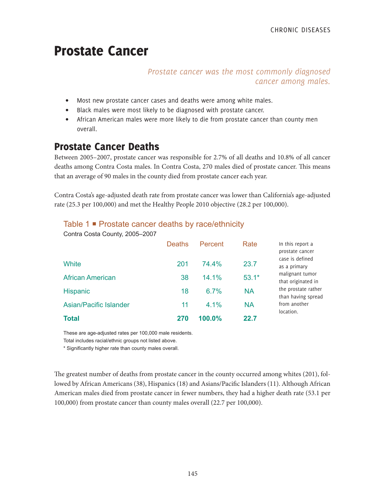# Prostate Cancer

### *Prostate cancer was the most commonly diagnosed cancer among males.*

- Most new prostate cancer cases and deaths were among white males.
- Black males were most likely to be diagnosed with prostate cancer.
- African American males were more likely to die from prostate cancer than county men overall.

## Prostate Cancer Deaths

Between 2005–2007, prostate cancer was responsible for 2.7% of all deaths and 10.8% of all cancer deaths among Contra Costa males. In Contra Costa, 270 males died of prostate cancer. This means that an average of 90 males in the county died from prostate cancer each year.

Contra Costa's age-adjusted death rate from prostate cancer was lower than California's age-adjusted rate (25.3 per 100,000) and met the Healthy People 2010 objective (28.2 per 100,000).

### Table 1 Prostate cancer deaths by race/ethnicity

Contra Costa County, 2005–2007

|                         | <b>Deaths</b> | Percent  | Rate      | In this report a<br>prostate cancer       |
|-------------------------|---------------|----------|-----------|-------------------------------------------|
| White                   | 201           | 74.4%    | 23.7      | case is defined<br>as a primary           |
| <b>African American</b> | 38            | $14.1\%$ | $53.1*$   | malignant tumor<br>that originated in     |
| Hispanic                | 18            | 6.7%     | <b>NA</b> | the prostate rather<br>than having spread |
| Asian/Pacific Islander  | 11            | $4.1\%$  | <b>NA</b> | from another<br>location.                 |
| Total                   | 270           | 100.0%   | 22.7      |                                           |

These are age-adjusted rates per 100,000 male residents.

Total includes racial/ethnic groups not listed above.

\* Significantly higher rate than county males overall.

The greatest number of deaths from prostate cancer in the county occurred among whites (201), followed by African Americans (38), Hispanics (18) and Asians/Pacific Islanders (11). Although African American males died from prostate cancer in fewer numbers, they had a higher death rate (53.1 per 100,000) from prostate cancer than county males overall (22.7 per 100,000).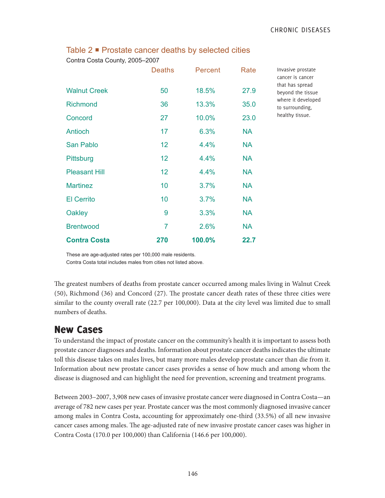|                      | <b>Deaths</b>   | Percent | Rate      | Invasive prostate<br>cancer is cancer                                                            |
|----------------------|-----------------|---------|-----------|--------------------------------------------------------------------------------------------------|
| <b>Walnut Creek</b>  | 50              | 18.5%   | 27.9      | that has spread<br>beyond the tissue<br>where it developed<br>to surrounding,<br>healthy tissue. |
| <b>Richmond</b>      | 36              | 13.3%   | 35.0      |                                                                                                  |
| Concord              | 27              | 10.0%   | 23.0      |                                                                                                  |
| Antioch              | 17              | 6.3%    | <b>NA</b> |                                                                                                  |
| San Pablo            | 12              | 4.4%    | <b>NA</b> |                                                                                                  |
| <b>Pittsburg</b>     | 12 <sub>2</sub> | 4.4%    | <b>NA</b> |                                                                                                  |
| <b>Pleasant Hill</b> | 12              | 4.4%    | <b>NA</b> |                                                                                                  |
| <b>Martinez</b>      | 10              | 3.7%    | <b>NA</b> |                                                                                                  |
| <b>El Cerrito</b>    | 10              | 3.7%    | <b>NA</b> |                                                                                                  |
| <b>Oakley</b>        | 9               | 3.3%    | <b>NA</b> |                                                                                                  |
| <b>Brentwood</b>     | $\overline{7}$  | 2.6%    | <b>NA</b> |                                                                                                  |
| <b>Contra Costa</b>  | 270             | 100.0%  | 22.7      |                                                                                                  |

Table 2 <sup>■</sup> Prostate cancer deaths by selected cities

Contra Costa County, 2005–2007

These are age-adjusted rates per 100,000 male residents.

Contra Costa total includes males from cities not listed above.

The greatest numbers of deaths from prostate cancer occurred among males living in Walnut Creek (50), Richmond (36) and Concord (27). The prostate cancer death rates of these three cities were similar to the county overall rate (22.7 per 100,000). Data at the city level was limited due to small numbers of deaths.

# New Cases

To understand the impact of prostate cancer on the community's health it is important to assess both prostate cancer diagnoses and deaths. Information about prostate cancer deaths indicates the ultimate toll this disease takes on males lives, but many more males develop prostate cancer than die from it. Information about new prostate cancer cases provides a sense of how much and among whom the disease is diagnosed and can highlight the need for prevention, screening and treatment programs.

Between 2003–2007, 3,908 new cases of invasive prostate cancer were diagnosed in Contra Costa—an average of 782 new cases per year. Prostate cancer was the most commonly diagnosed invasive cancer among males in Contra Costa, accounting for approximately one-third (33.5%) of all new invasive cancer cases among males. The age-adjusted rate of new invasive prostate cancer cases was higher in Contra Costa (170.0 per 100,000) than California (146.6 per 100,000).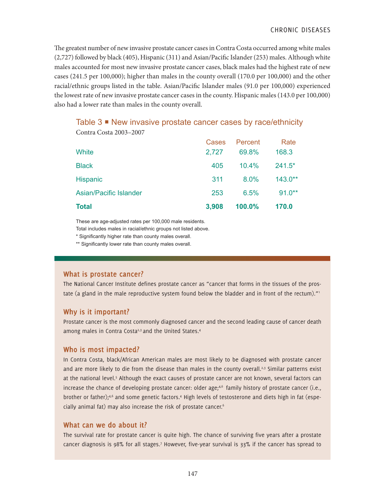The greatest number of new invasive prostate cancer cases in Contra Costa occurred among white males (2,727) followed by black (405), Hispanic (311) and Asian/Pacific Islander (253) males. Although white males accounted for most new invasive prostate cancer cases, black males had the highest rate of new cases (241.5 per 100,000); higher than males in the county overall (170.0 per 100,000) and the other racial/ethnic groups listed in the table. Asian/Pacific Islander males (91.0 per 100,000) experienced the lowest rate of new invasive prostate cancer cases in the county. Hispanic males (143.0 per 100,000) also had a lower rate than males in the county overall.

| Table $3$ $\blacksquare$ New invasive prostate cancer cases by race/ethnicity |               |             |
|-------------------------------------------------------------------------------|---------------|-------------|
| Contra Costa 2003–2007                                                        |               |             |
|                                                                               | Cases Percent | <b>Rate</b> |

| <b>Total</b>           | 3,908 | 100.0%   | 170.0     |
|------------------------|-------|----------|-----------|
| Asian/Pacific Islander | 253   | 6.5%     | $91.0**$  |
| <b>Hispanic</b>        | 311   | $8.0\%$  | $143.0**$ |
| <b>Black</b>           | 405   | $10.4\%$ | $241.5*$  |
| White                  | 2,727 | 69.8%    | 168.3     |

These are age-adjusted rates per 100,000 male residents.

Total includes males in racial/ethnic groups not listed above.

\* Significantly higher rate than county males overall.

\*\* Significantly lower rate than county males overall.

#### **What is prostate cancer?**

The National Cancer Institute defines prostate cancer as "cancer that forms in the tissues of the prostate (a gland in the male reproductive system found below the bladder and in front of the rectum)."<sup>1</sup>

#### **Why is it important?**

Prostate cancer is the most commonly diagnosed cancer and the second leading cause of cancer death among males in Contra Costa<sup>2,3</sup> and the United States.<sup>4</sup>

#### **Who is most impacted?**

In Contra Costa, black/African American males are most likely to be diagnosed with prostate cancer and are more likely to die from the disease than males in the county overall.<sup>2,3</sup> Similar patterns exist at the national level.<sup>5</sup> Although the exact causes of prostate cancer are not known, several factors can increase the chance of developing prostate cancer: older age;<sup>4,6</sup> family history of prostate cancer (i.e., brother or father);<sup>4,6</sup> and some genetic factors.<sup>4</sup> High levels of testosterone and diets high in fat (especially animal fat) may also increase the risk of prostate cancer.6

#### **What can we do about it?**

The survival rate for prostate cancer is quite high. The chance of surviving five years after a prostate cancer diagnosis is 98% for all stages.<sup>7</sup> However, five-year survival is 33% if the cancer has spread to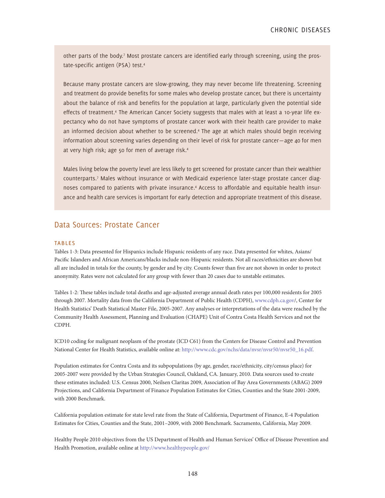other parts of the body.<sup>7</sup> Most prostate cancers are identified early through screening, using the prostate-specific antigen (PSA) test.4

Because many prostate cancers are slow-growing, they may never become life threatening. Screening and treatment do provide benefits for some males who develop prostate cancer, but there is uncertainty about the balance of risk and benefits for the population at large, particularly given the potential side effects of treatment.4 The American Cancer Society suggests that males with at least a 10-year life expectancy who do not have symptoms of prostate cancer work with their health care provider to make an informed decision about whether to be screened.<sup>4</sup> The age at which males should begin receiving information about screening varies depending on their level of risk for prostate cancer—age 40 for men at very high risk; age 50 for men of average risk.4

Males living below the poverty level are less likely to get screened for prostate cancer than their wealthier counterparts.7 Males without insurance or with Medicaid experience later-stage prostate cancer diagnoses compared to patients with private insurance.4 Access to affordable and equitable health insurance and health care services is important for early detection and appropriate treatment of this disease.

#### Data Sources: Prostate Cancer

#### **TABLES**

Tables 1-3: Data presented for Hispanics include Hispanic residents of any race. Data presented for whites, Asians/ Pacific Islanders and African Americans/blacks include non-Hispanic residents. Not all races/ethnicities are shown but all are included in totals for the county, by gender and by city. Counts fewer than five are not shown in order to protect anonymity. Rates were not calculated for any group with fewer than 20 cases due to unstable estimates.

Tables 1-2: These tables include total deaths and age-adjusted average annual death rates per 100,000 residents for 2005 through 2007. Mortality data from the California Department of Public Health (CDPH), www.cdph.ca.gov/, Center for Health Statistics' Death Statistical Master File, 2005-2007. Any analyses or interpretations of the data were reached by the Community Health Assessment, Planning and Evaluation (CHAPE) Unit of Contra Costa Health Services and not the CDPH.

ICD10 coding for malignant neoplasm of the prostate (ICD C61) from the Centers for Disease Control and Prevention National Center for Health Statistics, available online at: http://www.cdc.gov/nchs/data/nvsr/nvsr50/nvsr50\_16.pdf.

Population estimates for Contra Costa and its subpopulations (by age, gender, race/ethnicity, city/census place) for 2005-2007 were provided by the Urban Strategies Council, Oakland, CA. January, 2010. Data sources used to create these estimates included: U.S. Census 2000, Neilsen Claritas 2009, Association of Bay Area Governments (ABAG) 2009 Projections, and California Department of Finance Population Estimates for Cities, Counties and the State 2001-2009, with 2000 Benchmark.

California population estimate for state level rate from the State of California, Department of Finance, E-4 Population Estimates for Cities, Counties and the State, 2001–2009, with 2000 Benchmark. Sacramento, California, May 2009.

Healthy People 2010 objectives from the US Department of Health and Human Services' Office of Disease Prevention and Health Promotion, available online at http://www.healthypeople.gov/